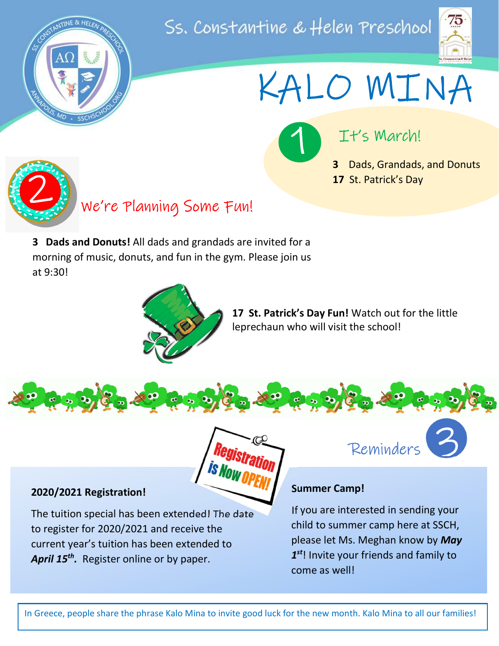

## Ss. Constantine & Helen Preschool



KALO MINA

It's March!

3 Dads, Grandads, and Donuts 17 St. Patrick's Day



We're Planning Some Fun! 2

3 Dads and Donuts! All dads and grandads are invited for a morning of music, donuts, and fun in the gym. Please join us at 9:30!



 $\bullet$   $\bullet$   $\bullet$   $\bullet$ 

17 St. Patrick's Day Fun! Watch out for the little leprechaun who will visit the school!

2020/2021 Registration!

The tuition special has been extended! The date to register for 2020/2021 and receive the current year's tuition has been extended to April 15<sup>th</sup>. Register online or by paper.

Reminders



#### Summer Camp!

 $\frac{1}{20}$   $\frac{1}{20}$ 

If you are interested in sending your child to summer camp here at SSCH, please let Ms. Meghan know by May  $1<sup>st</sup>!$  Invite your friends and family to come as well!